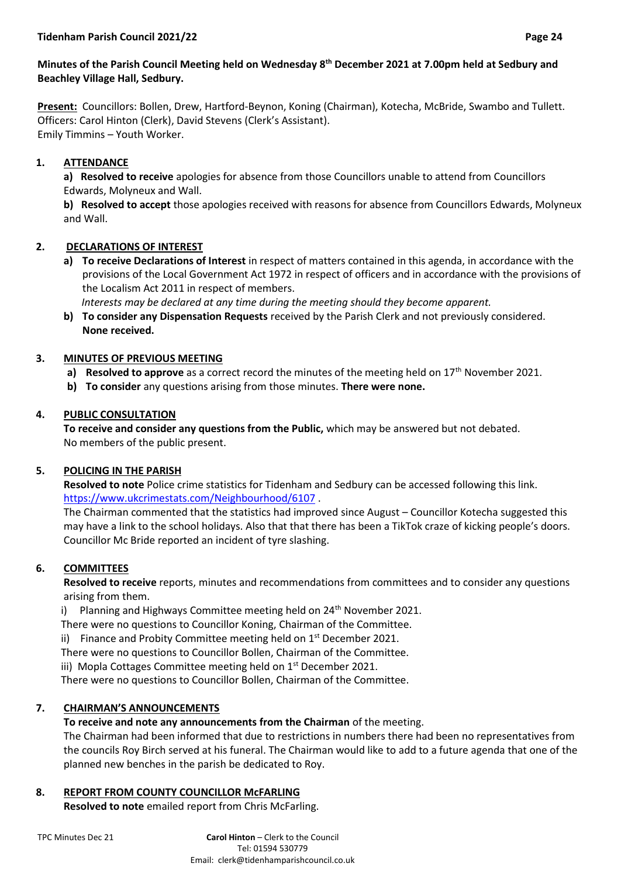## **Minutes of the Parish Council Meeting held on Wednesday 8 th December 2021 at 7.00pm held at Sedbury and Beachley Village Hall, Sedbury.**

**Present:** Councillors: Bollen, Drew, Hartford-Beynon, Koning (Chairman), Kotecha, McBride, Swambo and Tullett. Officers: Carol Hinton (Clerk), David Stevens (Clerk's Assistant). Emily Timmins – Youth Worker.

# **1. ATTENDANCE**

**a) Resolved to receive** apologies for absence from those Councillors unable to attend from Councillors Edwards, Molyneux and Wall.

**b) Resolved to accept** those apologies received with reasons for absence from Councillors Edwards, Molyneux and Wall.

## **2. DECLARATIONS OF INTEREST**

**a) To receive Declarations of Interest** in respect of matters contained in this agenda, in accordance with the provisions of the Local Government Act 1972 in respect of officers and in accordance with the provisions of the Localism Act 2011 in respect of members.

 *Interests may be declared at any time during the meeting should they become apparent.*

**b) To consider any Dispensation Requests** received by the Parish Clerk and not previously considered. **None received.**

## **3. MINUTES OF PREVIOUS MEETING**

- **a) Resolved to approve** as a correct record the minutes of the meeting held on 17<sup>th</sup> November 2021.
- **b) To consider** any questions arising from those minutes. **There were none.**

## **4. PUBLIC CONSULTATION**

**To receive and consider any questions from the Public,** which may be answered but not debated. No members of the public present.

### **5. POLICING IN THE PARISH**

**Resolved to note** Police crime statistics for Tidenham and Sedbury can be accessed following this link. <https://www.ukcrimestats.com/Neighbourhood/6107> .

The Chairman commented that the statistics had improved since August – Councillor Kotecha suggested this may have a link to the school holidays. Also that that there has been a TikTok craze of kicking people's doors. Councillor Mc Bride reported an incident of tyre slashing.

# **6. COMMITTEES**

**Resolved to receive** reports, minutes and recommendations from committees and to consider any questions arising from them.

i) Planning and Highways Committee meeting held on  $24<sup>th</sup>$  November 2021.

There were no questions to Councillor Koning, Chairman of the Committee.

ii) Finance and Probity Committee meeting held on  $1<sup>st</sup>$  December 2021.

There were no questions to Councillor Bollen, Chairman of the Committee.

iii) Mopla Cottages Committee meeting held on 1<sup>st</sup> December 2021.

There were no questions to Councillor Bollen, Chairman of the Committee.

# **7. CHAIRMAN'S ANNOUNCEMENTS**

# **To receive and note any announcements from the Chairman** of the meeting.

The Chairman had been informed that due to restrictions in numbers there had been no representatives from the councils Roy Birch served at his funeral. The Chairman would like to add to a future agenda that one of the planned new benches in the parish be dedicated to Roy.

# **8. REPORT FROM COUNTY COUNCILLOR McFARLING**

**Resolved to note** emailed report from Chris McFarling.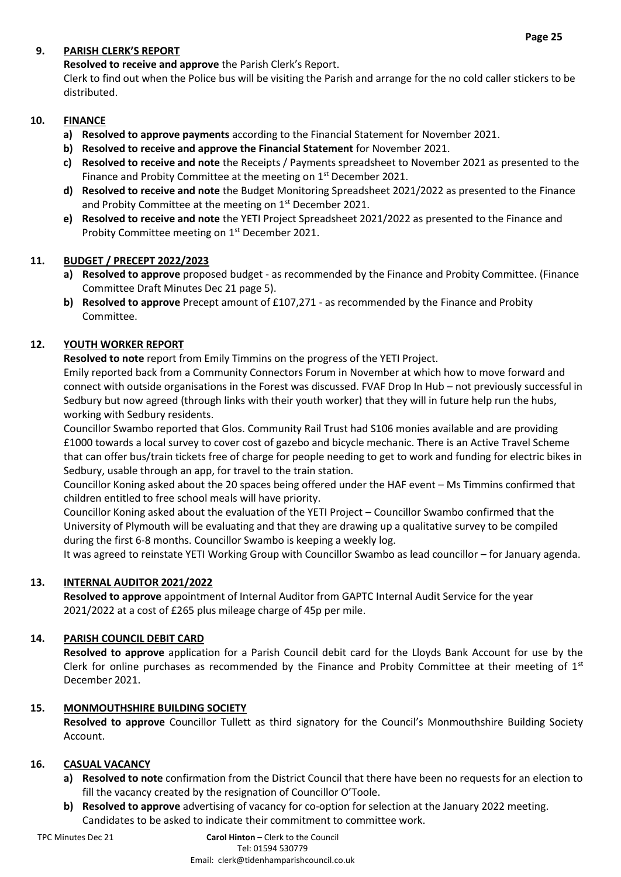## **9. PARISH CLERK'S REPORT**

**Resolved to receive and approve** the Parish Clerk's Report.

Clerk to find out when the Police bus will be visiting the Parish and arrange for the no cold caller stickers to be distributed.

## **10. FINANCE**

- **a) Resolved to approve payments** according to the Financial Statement for November 2021.
- **b) Resolved to receive and approve the Financial Statement** for November 2021.
- **c) Resolved to receive and note** the Receipts / Payments spreadsheet to November 2021 as presented to the Finance and Probity Committee at the meeting on 1<sup>st</sup> December 2021.
- **d) Resolved to receive and note** the Budget Monitoring Spreadsheet 2021/2022 as presented to the Finance and Probity Committee at the meeting on 1<sup>st</sup> December 2021.
- **e) Resolved to receive and note** the YETI Project Spreadsheet 2021/2022 as presented to the Finance and Probity Committee meeting on 1<sup>st</sup> December 2021.

## **11. BUDGET / PRECEPT 2022/2023**

- **a) Resolved to approve** proposed budget as recommended by the Finance and Probity Committee. (Finance Committee Draft Minutes Dec 21 page 5).
- **b) Resolved to approve** Precept amount of £107,271 as recommended by the Finance and Probity Committee.

## **12. YOUTH WORKER REPORT**

**Resolved to note** report from Emily Timmins on the progress of the YETI Project.

Emily reported back from a Community Connectors Forum in November at which how to move forward and connect with outside organisations in the Forest was discussed. FVAF Drop In Hub – not previously successful in Sedbury but now agreed (through links with their youth worker) that they will in future help run the hubs, working with Sedbury residents.

Councillor Swambo reported that Glos. Community Rail Trust had S106 monies available and are providing £1000 towards a local survey to cover cost of gazebo and bicycle mechanic. There is an Active Travel Scheme that can offer bus/train tickets free of charge for people needing to get to work and funding for electric bikes in Sedbury, usable through an app, for travel to the train station.

Councillor Koning asked about the 20 spaces being offered under the HAF event – Ms Timmins confirmed that children entitled to free school meals will have priority.

Councillor Koning asked about the evaluation of the YETI Project – Councillor Swambo confirmed that the University of Plymouth will be evaluating and that they are drawing up a qualitative survey to be compiled during the first 6-8 months. Councillor Swambo is keeping a weekly log.

It was agreed to reinstate YETI Working Group with Councillor Swambo as lead councillor – for January agenda.

### **13. INTERNAL AUDITOR 2021/2022**

**Resolved to approve** appointment of Internal Auditor from GAPTC Internal Audit Service for the year 2021/2022 at a cost of £265 plus mileage charge of 45p per mile.

### **14. PARISH COUNCIL DEBIT CARD**

**Resolved to approve** application for a Parish Council debit card for the Lloyds Bank Account for use by the Clerk for online purchases as recommended by the Finance and Probity Committee at their meeting of  $1<sup>st</sup>$ December 2021.

### **15. MONMOUTHSHIRE BUILDING SOCIETY**

**Resolved to approve** Councillor Tullett as third signatory for the Council's Monmouthshire Building Society Account.

### **16. CASUAL VACANCY**

- **a) Resolved to note** confirmation from the District Council that there have been no requests for an election to fill the vacancy created by the resignation of Councillor O'Toole.
- **b) Resolved to approve** advertising of vacancy for co-option for selection at the January 2022 meeting. Candidates to be asked to indicate their commitment to committee work.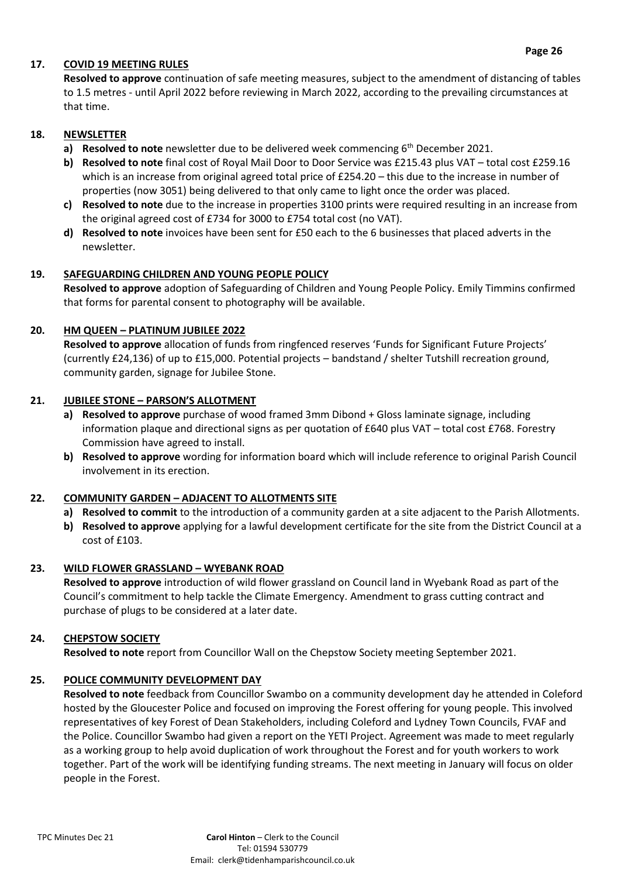### **17. COVID 19 MEETING RULES**

**Resolved to approve** continuation of safe meeting measures, subject to the amendment of distancing of tables to 1.5 metres - until April 2022 before reviewing in March 2022, according to the prevailing circumstances at that time.

### **18. NEWSLETTER**

- **a) Resolved to note** newsletter due to be delivered week commencing 6<sup>th</sup> December 2021.
- **b) Resolved to note** final cost of Royal Mail Door to Door Service was £215.43 plus VAT total cost £259.16 which is an increase from original agreed total price of £254.20 – this due to the increase in number of properties (now 3051) being delivered to that only came to light once the order was placed.
- **c) Resolved to note** due to the increase in properties 3100 prints were required resulting in an increase from the original agreed cost of £734 for 3000 to £754 total cost (no VAT).
- **d) Resolved to note** invoices have been sent for £50 each to the 6 businesses that placed adverts in the newsletter.

### **19. SAFEGUARDING CHILDREN AND YOUNG PEOPLE POLICY**

**Resolved to approve** adoption of Safeguarding of Children and Young People Policy. Emily Timmins confirmed that forms for parental consent to photography will be available.

## **20. HM QUEEN – PLATINUM JUBILEE 2022**

**Resolved to approve** allocation of funds from ringfenced reserves 'Funds for Significant Future Projects' (currently £24,136) of up to £15,000. Potential projects – bandstand / shelter Tutshill recreation ground, community garden, signage for Jubilee Stone.

### **21. JUBILEE STONE – PARSON'S ALLOTMENT**

- **a) Resolved to approve** purchase of wood framed 3mm Dibond + Gloss laminate signage, including information plaque and directional signs as per quotation of £640 plus VAT – total cost £768. Forestry Commission have agreed to install.
- **b) Resolved to approve** wording for information board which will include reference to original Parish Council involvement in its erection.

# **22. COMMUNITY GARDEN – ADJACENT TO ALLOTMENTS SITE**

- **a) Resolved to commit** to the introduction of a community garden at a site adjacent to the Parish Allotments.
- **b) Resolved to approve** applying for a lawful development certificate for the site from the District Council at a cost of £103.

### **23. WILD FLOWER GRASSLAND – WYEBANK ROAD**

**Resolved to approve** introduction of wild flower grassland on Council land in Wyebank Road as part of the Council's commitment to help tackle the Climate Emergency. Amendment to grass cutting contract and purchase of plugs to be considered at a later date.

### **24. CHEPSTOW SOCIETY**

**Resolved to note** report from Councillor Wall on the Chepstow Society meeting September 2021.

### **25. POLICE COMMUNITY DEVELOPMENT DAY**

**Resolved to note** feedback from Councillor Swambo on a community development day he attended in Coleford hosted by the Gloucester Police and focused on improving the Forest offering for young people. This involved representatives of key Forest of Dean Stakeholders, including Coleford and Lydney Town Councils, FVAF and the Police. Councillor Swambo had given a report on the YETI Project. Agreement was made to meet regularly as a working group to help avoid duplication of work throughout the Forest and for youth workers to work together. Part of the work will be identifying funding streams. The next meeting in January will focus on older people in the Forest.